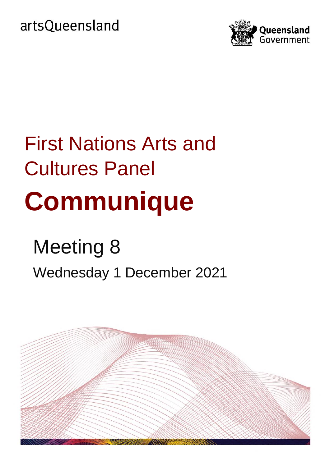artsQueensland



# First Nations Arts and Cultures Panel **Communique**

## Meeting 8 Wednesday 1 December 2021